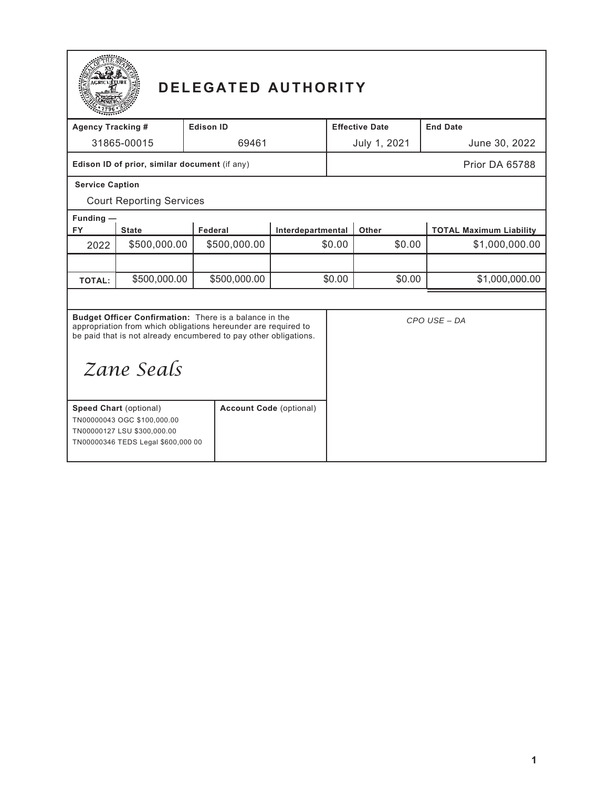

# **DELEGATED AUTHORITY**

| <b>Agency Tracking #</b>                                                                                                                                                                                   |                                                                                                                                   | <b>Edison ID</b>               |                   | <b>Effective Date</b> |              | <b>End Date</b>                |
|------------------------------------------------------------------------------------------------------------------------------------------------------------------------------------------------------------|-----------------------------------------------------------------------------------------------------------------------------------|--------------------------------|-------------------|-----------------------|--------------|--------------------------------|
|                                                                                                                                                                                                            | 31865-00015                                                                                                                       |                                | 69461             |                       | July 1, 2021 | June 30, 2022                  |
| Edison ID of prior, similar document (if any)                                                                                                                                                              |                                                                                                                                   |                                |                   |                       |              | Prior DA 65788                 |
| <b>Service Caption</b>                                                                                                                                                                                     |                                                                                                                                   |                                |                   |                       |              |                                |
|                                                                                                                                                                                                            | <b>Court Reporting Services</b>                                                                                                   |                                |                   |                       |              |                                |
| Funding $-$                                                                                                                                                                                                |                                                                                                                                   |                                |                   |                       |              |                                |
| <b>FY</b>                                                                                                                                                                                                  | <b>State</b>                                                                                                                      | Federal                        | Interdepartmental |                       | Other        | <b>TOTAL Maximum Liability</b> |
| 2022                                                                                                                                                                                                       | \$500,000.00                                                                                                                      | \$500,000.00                   |                   | \$0.00                | \$0.00       | \$1,000,000.00                 |
|                                                                                                                                                                                                            |                                                                                                                                   |                                |                   |                       |              |                                |
| <b>TOTAL:</b>                                                                                                                                                                                              | \$500,000.00                                                                                                                      | \$500,000.00                   | \$0.00            |                       | \$0.00       | \$1,000,000.00                 |
|                                                                                                                                                                                                            |                                                                                                                                   |                                |                   |                       |              |                                |
| Budget Officer Confirmation: There is a balance in the<br>appropriation from which obligations hereunder are required to<br>be paid that is not already encumbered to pay other obligations.<br>Zane Seals |                                                                                                                                   |                                |                   |                       |              | CPO USE - DA                   |
|                                                                                                                                                                                                            | <b>Speed Chart (optional)</b><br>TN00000043 OGC \$100,000.00<br>TN00000127 LSU \$300,000.00<br>TN00000346 TEDS Legal \$600,000 00 | <b>Account Code (optional)</b> |                   |                       |              |                                |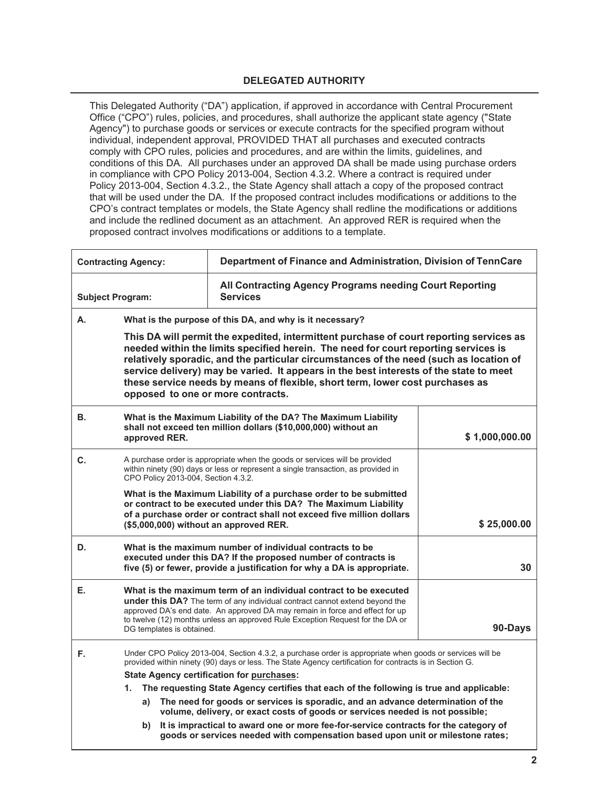## **DELEGATED AUTHORITY**

This Delegated Authority ("DA") application, if approved in accordance with Central Procurement Office ("CPO") rules, policies, and procedures, shall authorize the applicant state agency ("State Agency") to purchase goods or services or execute contracts for the specified program without individual, independent approval, PROVIDED THAT all purchases and executed contracts comply with CPO rules, policies and procedures, and are within the limits, guidelines, and conditions of this DA. All purchases under an approved DA shall be made using purchase orders in compliance with CPO Policy 2013-004, Section 4.3.2. Where a contract is required under Policy 2013-004, Section 4.3.2., the State Agency shall attach a copy of the proposed contract that will be used under the DA. If the proposed contract includes modifications or additions to the CPO's contract templates or models, the State Agency shall redline the modifications or additions and include the redlined document as an attachment. An approved RER is required when the proposed contract involves modifications or additions to a template.

| <b>Contracting Agency:</b> |                                                                                                                                                                                                                                                                                                                                                                                                                                                                                          | Department of Finance and Administration, Division of TennCare                                                                                                                                                                                                                                                           |                |  |  |
|----------------------------|------------------------------------------------------------------------------------------------------------------------------------------------------------------------------------------------------------------------------------------------------------------------------------------------------------------------------------------------------------------------------------------------------------------------------------------------------------------------------------------|--------------------------------------------------------------------------------------------------------------------------------------------------------------------------------------------------------------------------------------------------------------------------------------------------------------------------|----------------|--|--|
| <b>Subject Program:</b>    |                                                                                                                                                                                                                                                                                                                                                                                                                                                                                          | All Contracting Agency Programs needing Court Reporting<br><b>Services</b>                                                                                                                                                                                                                                               |                |  |  |
| А.                         | What is the purpose of this DA, and why is it necessary?                                                                                                                                                                                                                                                                                                                                                                                                                                 |                                                                                                                                                                                                                                                                                                                          |                |  |  |
|                            | This DA will permit the expedited, intermittent purchase of court reporting services as<br>needed within the limits specified herein. The need for court reporting services is<br>relatively sporadic, and the particular circumstances of the need (such as location of<br>service delivery) may be varied. It appears in the best interests of the state to meet<br>these service needs by means of flexible, short term, lower cost purchases as<br>opposed to one or more contracts. |                                                                                                                                                                                                                                                                                                                          |                |  |  |
| В.                         | approved RER.                                                                                                                                                                                                                                                                                                                                                                                                                                                                            | What is the Maximum Liability of the DA? The Maximum Liability<br>shall not exceed ten million dollars (\$10,000,000) without an                                                                                                                                                                                         | \$1,000,000.00 |  |  |
| C.                         | CPO Policy 2013-004, Section 4.3.2.                                                                                                                                                                                                                                                                                                                                                                                                                                                      | A purchase order is appropriate when the goods or services will be provided<br>within ninety (90) days or less or represent a single transaction, as provided in                                                                                                                                                         |                |  |  |
|                            | (\$5,000,000) without an approved RER.                                                                                                                                                                                                                                                                                                                                                                                                                                                   | What is the Maximum Liability of a purchase order to be submitted<br>or contract to be executed under this DA? The Maximum Liability<br>of a purchase order or contract shall not exceed five million dollars                                                                                                            | \$25,000.00    |  |  |
| D.                         |                                                                                                                                                                                                                                                                                                                                                                                                                                                                                          | What is the maximum number of individual contracts to be<br>executed under this DA? If the proposed number of contracts is<br>five (5) or fewer, provide a justification for why a DA is appropriate.                                                                                                                    | 30             |  |  |
| Е.                         | DG templates is obtained.                                                                                                                                                                                                                                                                                                                                                                                                                                                                | What is the maximum term of an individual contract to be executed<br><b>under this DA?</b> The term of any individual contract cannot extend beyond the<br>approved DA's end date. An approved DA may remain in force and effect for up<br>to twelve (12) months unless an approved Rule Exception Request for the DA or | 90-Days        |  |  |
| F.                         | Under CPO Policy 2013-004, Section 4.3.2, a purchase order is appropriate when goods or services will be<br>provided within ninety (90) days or less. The State Agency certification for contracts is in Section G.                                                                                                                                                                                                                                                                      |                                                                                                                                                                                                                                                                                                                          |                |  |  |
|                            | <b>State Agency certification for purchases:</b>                                                                                                                                                                                                                                                                                                                                                                                                                                         |                                                                                                                                                                                                                                                                                                                          |                |  |  |
|                            | The requesting State Agency certifies that each of the following is true and applicable:<br>1.                                                                                                                                                                                                                                                                                                                                                                                           |                                                                                                                                                                                                                                                                                                                          |                |  |  |
|                            | The need for goods or services is sporadic, and an advance determination of the<br>a)<br>volume, delivery, or exact costs of goods or services needed is not possible;                                                                                                                                                                                                                                                                                                                   |                                                                                                                                                                                                                                                                                                                          |                |  |  |
|                            | b)                                                                                                                                                                                                                                                                                                                                                                                                                                                                                       | It is impractical to award one or more fee-for-service contracts for the category of<br>goods or services needed with compensation based upon unit or milestone rates;                                                                                                                                                   |                |  |  |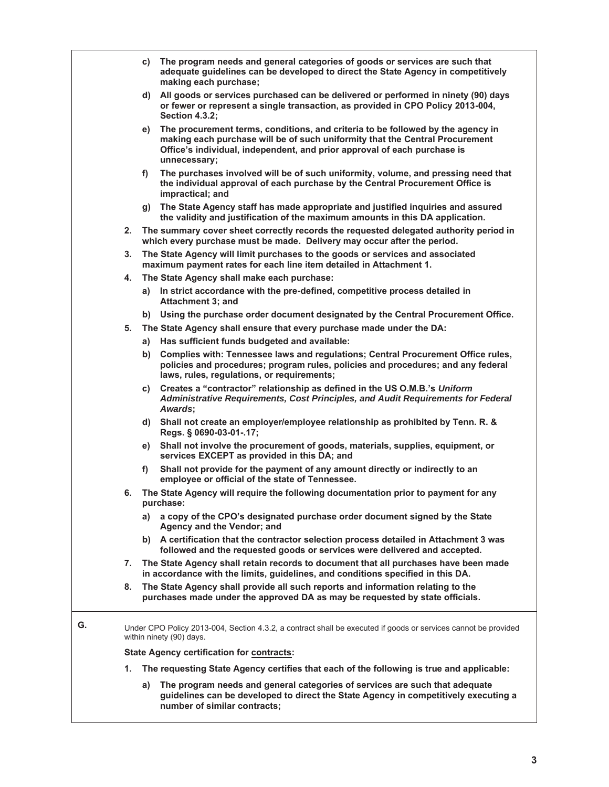|    |    |                                                                                                                                                     | c) The program needs and general categories of goods or services are such that                                                                                                                                                                              |  |  |
|----|----|-----------------------------------------------------------------------------------------------------------------------------------------------------|-------------------------------------------------------------------------------------------------------------------------------------------------------------------------------------------------------------------------------------------------------------|--|--|
|    |    |                                                                                                                                                     | adequate guidelines can be developed to direct the State Agency in competitively<br>making each purchase;                                                                                                                                                   |  |  |
|    |    | d)                                                                                                                                                  | All goods or services purchased can be delivered or performed in ninety (90) days<br>or fewer or represent a single transaction, as provided in CPO Policy 2013-004,<br><b>Section 4.3.2;</b>                                                               |  |  |
|    |    | e)                                                                                                                                                  | The procurement terms, conditions, and criteria to be followed by the agency in<br>making each purchase will be of such uniformity that the Central Procurement<br>Office's individual, independent, and prior approval of each purchase is<br>unnecessary: |  |  |
|    |    | f)                                                                                                                                                  | The purchases involved will be of such uniformity, volume, and pressing need that<br>the individual approval of each purchase by the Central Procurement Office is<br>impractical; and                                                                      |  |  |
|    |    |                                                                                                                                                     | g) The State Agency staff has made appropriate and justified inquiries and assured<br>the validity and justification of the maximum amounts in this DA application.                                                                                         |  |  |
|    |    |                                                                                                                                                     | 2. The summary cover sheet correctly records the requested delegated authority period in<br>which every purchase must be made. Delivery may occur after the period.                                                                                         |  |  |
|    | 3. | The State Agency will limit purchases to the goods or services and associated<br>maximum payment rates for each line item detailed in Attachment 1. |                                                                                                                                                                                                                                                             |  |  |
|    | 4. |                                                                                                                                                     | The State Agency shall make each purchase:                                                                                                                                                                                                                  |  |  |
|    |    | a)                                                                                                                                                  | In strict accordance with the pre-defined, competitive process detailed in<br>Attachment 3; and                                                                                                                                                             |  |  |
|    |    | b)                                                                                                                                                  | Using the purchase order document designated by the Central Procurement Office.                                                                                                                                                                             |  |  |
|    | 5. |                                                                                                                                                     | The State Agency shall ensure that every purchase made under the DA:                                                                                                                                                                                        |  |  |
|    |    | a)                                                                                                                                                  | Has sufficient funds budgeted and available:                                                                                                                                                                                                                |  |  |
|    |    | b)                                                                                                                                                  | Complies with: Tennessee laws and regulations; Central Procurement Office rules,<br>policies and procedures; program rules, policies and procedures; and any federal<br>laws, rules, regulations, or requirements;                                          |  |  |
|    |    | C)                                                                                                                                                  | Creates a "contractor" relationship as defined in the US O.M.B.'s Uniform<br>Administrative Requirements, Cost Principles, and Audit Requirements for Federal<br>Awards;                                                                                    |  |  |
|    |    |                                                                                                                                                     | d) Shall not create an employer/employee relationship as prohibited by Tenn. R. &<br>Regs. § 0690-03-01-.17;                                                                                                                                                |  |  |
|    |    |                                                                                                                                                     | e) Shall not involve the procurement of goods, materials, supplies, equipment, or<br>services EXCEPT as provided in this DA; and                                                                                                                            |  |  |
|    |    | f)                                                                                                                                                  | Shall not provide for the payment of any amount directly or indirectly to an<br>employee or official of the state of Tennessee.                                                                                                                             |  |  |
|    | 6. |                                                                                                                                                     | The State Agency will require the following documentation prior to payment for any<br>purchase:                                                                                                                                                             |  |  |
|    |    |                                                                                                                                                     | a) a copy of the CPO's designated purchase order document signed by the State<br>Agency and the Vendor; and                                                                                                                                                 |  |  |
|    |    |                                                                                                                                                     | b) A certification that the contractor selection process detailed in Attachment 3 was<br>followed and the requested goods or services were delivered and accepted.                                                                                          |  |  |
|    | 7. |                                                                                                                                                     | The State Agency shall retain records to document that all purchases have been made<br>in accordance with the limits, guidelines, and conditions specified in this DA.                                                                                      |  |  |
|    | 8. |                                                                                                                                                     | The State Agency shall provide all such reports and information relating to the<br>purchases made under the approved DA as may be requested by state officials.                                                                                             |  |  |
| G. |    |                                                                                                                                                     | Under CPO Policy 2013-004, Section 4.3.2, a contract shall be executed if goods or services cannot be provided<br>within ninety (90) days.                                                                                                                  |  |  |
|    |    |                                                                                                                                                     | <b>State Agency certification for contracts:</b>                                                                                                                                                                                                            |  |  |
|    | 1. |                                                                                                                                                     | The requesting State Agency certifies that each of the following is true and applicable:                                                                                                                                                                    |  |  |
|    |    | a)                                                                                                                                                  | The program needs and general categories of services are such that adequate<br>guidelines can be developed to direct the State Agency in competitively executing a<br>number of similar contracts;                                                          |  |  |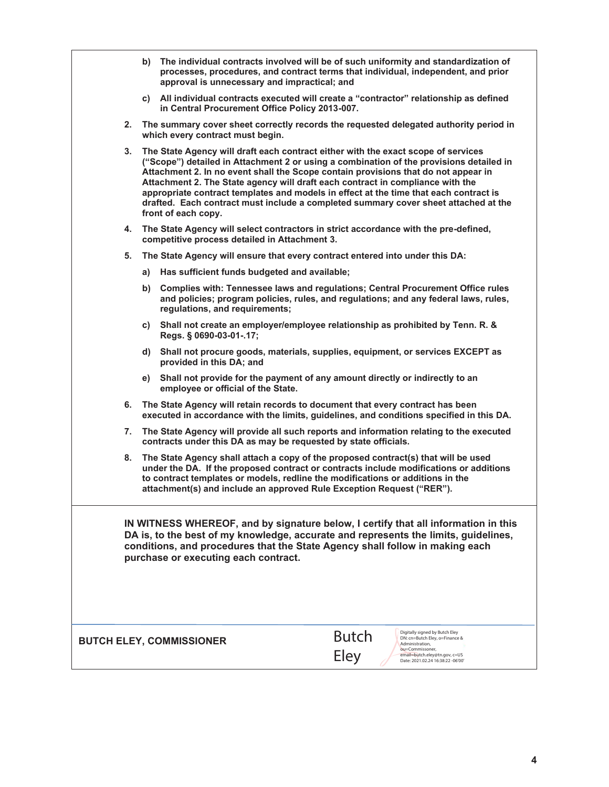|                                                                                                                                                                                                                                                                                                   |                                                                                                                                                                                                                                                                                                                                                                                                                                                                                                                                                             |                                                                                                                                                                           | b) The individual contracts involved will be of such uniformity and standardization of                                                                                                                      |  |
|---------------------------------------------------------------------------------------------------------------------------------------------------------------------------------------------------------------------------------------------------------------------------------------------------|-------------------------------------------------------------------------------------------------------------------------------------------------------------------------------------------------------------------------------------------------------------------------------------------------------------------------------------------------------------------------------------------------------------------------------------------------------------------------------------------------------------------------------------------------------------|---------------------------------------------------------------------------------------------------------------------------------------------------------------------------|-------------------------------------------------------------------------------------------------------------------------------------------------------------------------------------------------------------|--|
|                                                                                                                                                                                                                                                                                                   | processes, procedures, and contract terms that individual, independent, and prior<br>approval is unnecessary and impractical; and                                                                                                                                                                                                                                                                                                                                                                                                                           |                                                                                                                                                                           |                                                                                                                                                                                                             |  |
|                                                                                                                                                                                                                                                                                                   |                                                                                                                                                                                                                                                                                                                                                                                                                                                                                                                                                             | in Central Procurement Office Policy 2013-007.                                                                                                                            | c) All individual contracts executed will create a "contractor" relationship as defined                                                                                                                     |  |
| 2.                                                                                                                                                                                                                                                                                                |                                                                                                                                                                                                                                                                                                                                                                                                                                                                                                                                                             | which every contract must begin.                                                                                                                                          | The summary cover sheet correctly records the requested delegated authority period in                                                                                                                       |  |
| 3.                                                                                                                                                                                                                                                                                                | The State Agency will draft each contract either with the exact scope of services<br>("Scope") detailed in Attachment 2 or using a combination of the provisions detailed in<br>Attachment 2. In no event shall the Scope contain provisions that do not appear in<br>Attachment 2. The State agency will draft each contract in compliance with the<br>appropriate contract templates and models in effect at the time that each contract is<br>drafted. Each contract must include a completed summary cover sheet attached at the<br>front of each copy. |                                                                                                                                                                           |                                                                                                                                                                                                             |  |
|                                                                                                                                                                                                                                                                                                   | The State Agency will select contractors in strict accordance with the pre-defined,<br>4.<br>competitive process detailed in Attachment 3.                                                                                                                                                                                                                                                                                                                                                                                                                  |                                                                                                                                                                           |                                                                                                                                                                                                             |  |
| 5.                                                                                                                                                                                                                                                                                                |                                                                                                                                                                                                                                                                                                                                                                                                                                                                                                                                                             | The State Agency will ensure that every contract entered into under this DA:                                                                                              |                                                                                                                                                                                                             |  |
|                                                                                                                                                                                                                                                                                                   | a)                                                                                                                                                                                                                                                                                                                                                                                                                                                                                                                                                          | Has sufficient funds budgeted and available;                                                                                                                              |                                                                                                                                                                                                             |  |
|                                                                                                                                                                                                                                                                                                   |                                                                                                                                                                                                                                                                                                                                                                                                                                                                                                                                                             | regulations, and requirements;                                                                                                                                            | b) Complies with: Tennessee laws and regulations; Central Procurement Office rules<br>and policies; program policies, rules, and regulations; and any federal laws, rules,                                  |  |
|                                                                                                                                                                                                                                                                                                   |                                                                                                                                                                                                                                                                                                                                                                                                                                                                                                                                                             | c) Shall not create an employer/employee relationship as prohibited by Tenn. R. &<br>Regs. § 0690-03-01-.17;                                                              |                                                                                                                                                                                                             |  |
|                                                                                                                                                                                                                                                                                                   |                                                                                                                                                                                                                                                                                                                                                                                                                                                                                                                                                             | provided in this DA; and                                                                                                                                                  | d) Shall not procure goods, materials, supplies, equipment, or services EXCEPT as                                                                                                                           |  |
|                                                                                                                                                                                                                                                                                                   |                                                                                                                                                                                                                                                                                                                                                                                                                                                                                                                                                             | e) Shall not provide for the payment of any amount directly or indirectly to an<br>employee or official of the State.                                                     |                                                                                                                                                                                                             |  |
| 6.                                                                                                                                                                                                                                                                                                |                                                                                                                                                                                                                                                                                                                                                                                                                                                                                                                                                             | The State Agency will retain records to document that every contract has been<br>executed in accordance with the limits, guidelines, and conditions specified in this DA. |                                                                                                                                                                                                             |  |
| 7.                                                                                                                                                                                                                                                                                                | The State Agency will provide all such reports and information relating to the executed<br>contracts under this DA as may be requested by state officials.                                                                                                                                                                                                                                                                                                                                                                                                  |                                                                                                                                                                           |                                                                                                                                                                                                             |  |
|                                                                                                                                                                                                                                                                                                   | The State Agency shall attach a copy of the proposed contract(s) that will be used<br>8.<br>under the DA. If the proposed contract or contracts include modifications or additions<br>to contract templates or models, redline the modifications or additions in the<br>attachment(s) and include an approved Rule Exception Request ("RER").                                                                                                                                                                                                               |                                                                                                                                                                           |                                                                                                                                                                                                             |  |
| IN WITNESS WHEREOF, and by signature below, I certify that all information in this<br>DA is, to the best of my knowledge, accurate and represents the limits, guidelines,<br>conditions, and procedures that the State Agency shall follow in making each<br>purchase or executing each contract. |                                                                                                                                                                                                                                                                                                                                                                                                                                                                                                                                                             |                                                                                                                                                                           |                                                                                                                                                                                                             |  |
|                                                                                                                                                                                                                                                                                                   |                                                                                                                                                                                                                                                                                                                                                                                                                                                                                                                                                             | <b>BUTCH ELEY, COMMISSIONER</b>                                                                                                                                           | Digitally signed by Butch Eley<br><b>Butch</b><br>DN: cn=Butch Eley, o=Finance &<br>Administration,<br>ou=Commissoner,<br><b>Eley</b><br>email=butch.eley@tn.gov, c=US<br>Date: 2021.02.24 16:38:22 -06'00' |  |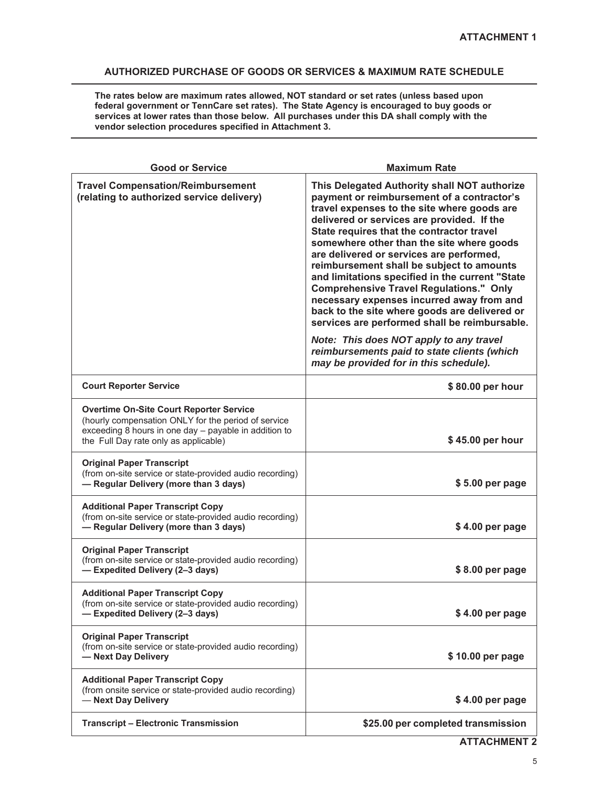# **AUTHORIZED PURCHASE OF GOODS OR SERVICES & MAXIMUM RATE SCHEDULE**

**The rates below are maximum rates allowed, NOT standard or set rates (unless based upon federal government or TennCare set rates). The State Agency is encouraged to buy goods or services at lower rates than those below. All purchases under this DA shall comply with the vendor selection procedures specified in Attachment 3.** 

| <b>Good or Service</b>                                                                                                                                                                                  | <b>Maximum Rate</b>                                                                                                                                                                                                                                                                                                                                                                                                                                                                                                                                                                                                            |  |  |
|---------------------------------------------------------------------------------------------------------------------------------------------------------------------------------------------------------|--------------------------------------------------------------------------------------------------------------------------------------------------------------------------------------------------------------------------------------------------------------------------------------------------------------------------------------------------------------------------------------------------------------------------------------------------------------------------------------------------------------------------------------------------------------------------------------------------------------------------------|--|--|
| <b>Travel Compensation/Reimbursement</b><br>(relating to authorized service delivery)                                                                                                                   | This Delegated Authority shall NOT authorize<br>payment or reimbursement of a contractor's<br>travel expenses to the site where goods are<br>delivered or services are provided. If the<br>State requires that the contractor travel<br>somewhere other than the site where goods<br>are delivered or services are performed,<br>reimbursement shall be subject to amounts<br>and limitations specified in the current "State<br><b>Comprehensive Travel Regulations." Only</b><br>necessary expenses incurred away from and<br>back to the site where goods are delivered or<br>services are performed shall be reimbursable. |  |  |
|                                                                                                                                                                                                         | Note: This does NOT apply to any travel<br>reimbursements paid to state clients (which<br>may be provided for in this schedule).                                                                                                                                                                                                                                                                                                                                                                                                                                                                                               |  |  |
| <b>Court Reporter Service</b>                                                                                                                                                                           | \$80.00 per hour                                                                                                                                                                                                                                                                                                                                                                                                                                                                                                                                                                                                               |  |  |
| <b>Overtime On-Site Court Reporter Service</b><br>(hourly compensation ONLY for the period of service<br>exceeding 8 hours in one day - payable in addition to<br>the Full Day rate only as applicable) | \$45.00 per hour                                                                                                                                                                                                                                                                                                                                                                                                                                                                                                                                                                                                               |  |  |
| <b>Original Paper Transcript</b><br>(from on-site service or state-provided audio recording)<br>- Regular Delivery (more than 3 days)                                                                   | \$5.00 per page                                                                                                                                                                                                                                                                                                                                                                                                                                                                                                                                                                                                                |  |  |
| <b>Additional Paper Transcript Copy</b><br>(from on-site service or state-provided audio recording)<br>- Regular Delivery (more than 3 days)                                                            | \$4.00 per page                                                                                                                                                                                                                                                                                                                                                                                                                                                                                                                                                                                                                |  |  |
| <b>Original Paper Transcript</b><br>(from on-site service or state-provided audio recording)<br>- Expedited Delivery (2-3 days)                                                                         | \$8.00 per page                                                                                                                                                                                                                                                                                                                                                                                                                                                                                                                                                                                                                |  |  |
| <b>Additional Paper Transcript Copy</b><br>(from on-site service or state-provided audio recording)<br>- Expedited Delivery (2-3 days)                                                                  | \$4.00 per page                                                                                                                                                                                                                                                                                                                                                                                                                                                                                                                                                                                                                |  |  |
| <b>Original Paper Transcript</b><br>(from on-site service or state-provided audio recording)<br>- Next Day Delivery                                                                                     | \$10.00 per page                                                                                                                                                                                                                                                                                                                                                                                                                                                                                                                                                                                                               |  |  |
| <b>Additional Paper Transcript Copy</b><br>(from onsite service or state-provided audio recording)<br>- Next Day Delivery                                                                               | \$4.00 per page                                                                                                                                                                                                                                                                                                                                                                                                                                                                                                                                                                                                                |  |  |
| <b>Transcript - Electronic Transmission</b>                                                                                                                                                             | \$25.00 per completed transmission                                                                                                                                                                                                                                                                                                                                                                                                                                                                                                                                                                                             |  |  |

**ATTACHMENT 2**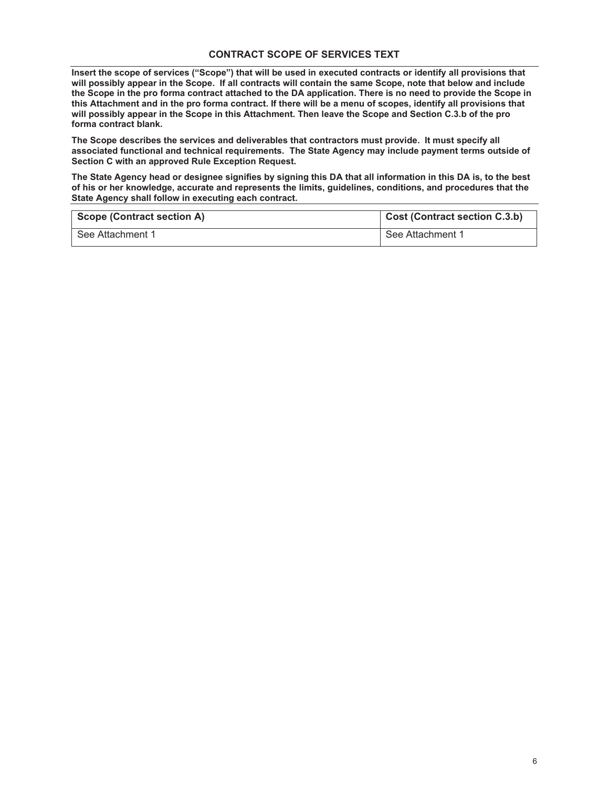### **CONTRACT SCOPE OF SERVICES TEXT**

**Insert the scope of services ("Scope") that will be used in executed contracts or identify all provisions that will possibly appear in the Scope. If all contracts will contain the same Scope, note that below and include the Scope in the pro forma contract attached to the DA application. There is no need to provide the Scope in this Attachment and in the pro forma contract. If there will be a menu of scopes, identify all provisions that will possibly appear in the Scope in this Attachment. Then leave the Scope and Section C.3.b of the pro forma contract blank.** 

**The Scope describes the services and deliverables that contractors must provide. It must specify all associated functional and technical requirements. The State Agency may include payment terms outside of Section C with an approved Rule Exception Request.** 

**The State Agency head or designee signifies by signing this DA that all information in this DA is, to the best of his or her knowledge, accurate and represents the limits, guidelines, conditions, and procedures that the State Agency shall follow in executing each contract.** 

| <b>Scope (Contract section A)</b> | <b>Cost (Contract section C.3.b)</b> |
|-----------------------------------|--------------------------------------|
| See Attachment 1                  | See Attachment 1                     |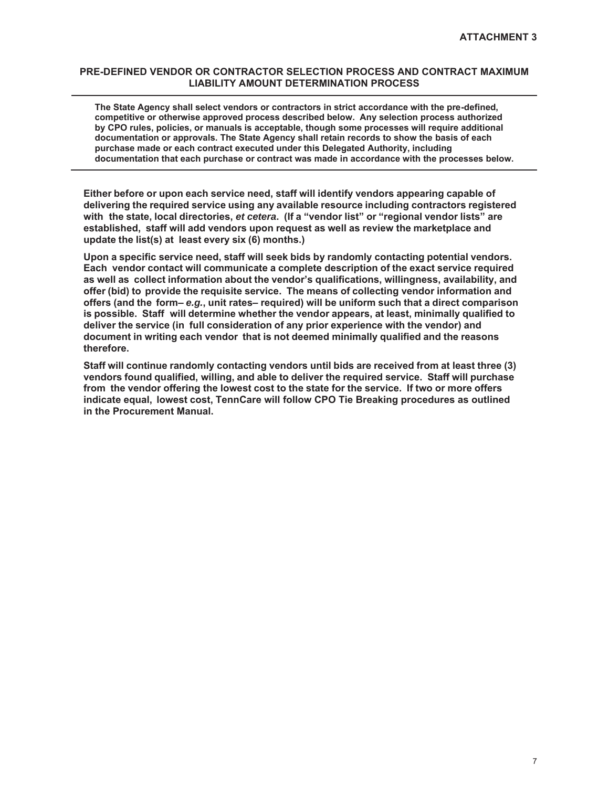### **PRE-DEFINED VENDOR OR CONTRACTOR SELECTION PROCESS AND CONTRACT MAXIMUM LIABILITY AMOUNT DETERMINATION PROCESS**

**The State Agency shall select vendors or contractors in strict accordance with the pre-defined, competitive or otherwise approved process described below. Any selection process authorized by CPO rules, policies, or manuals is acceptable, though some processes will require additional documentation or approvals. The State Agency shall retain records to show the basis of each purchase made or each contract executed under this Delegated Authority, including documentation that each purchase or contract was made in accordance with the processes below.** 

**Either before or upon each service need, staff will identify vendors appearing capable of delivering the required service using any available resource including contractors registered with the state, local directories,** *et cetera***. (If a "vendor list" or "regional vendor lists" are established, staff will add vendors upon request as well as review the marketplace and update the list(s) at least every six (6) months.)**

**Upon a specific service need, staff will seek bids by randomly contacting potential vendors. Each vendor contact will communicate a complete description of the exact service required as well as collect information about the vendor's qualifications, willingness, availability, and offer (bid) to provide the requisite service. The means of collecting vendor information and offers (and the form–** *e.g.***, unit rates– required) will be uniform such that a direct comparison is possible. Staff will determine whether the vendor appears, at least, minimally qualified to deliver the service (in full consideration of any prior experience with the vendor) and document in writing each vendor that is not deemed minimally qualified and the reasons therefore.**

**Staff will continue randomly contacting vendors until bids are received from at least three (3) vendors found qualified, willing, and able to deliver the required service. Staff will purchase from the vendor offering the lowest cost to the state for the service. If two or more offers indicate equal, lowest cost, TennCare will follow CPO Tie Breaking procedures as outlined in the Procurement Manual.**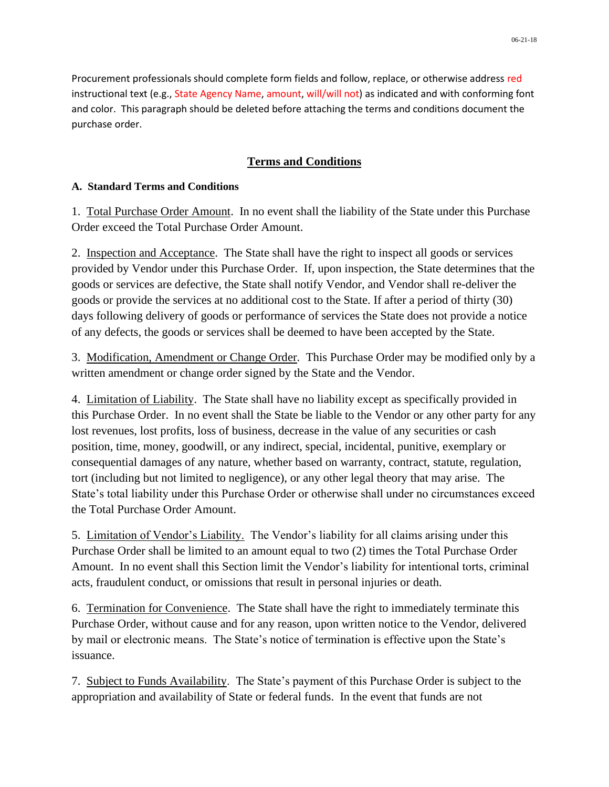Procurement professionals should complete form fields and follow, replace, or otherwise address red instructional text (e.g., State Agency Name, amount, will/will not) as indicated and with conforming font and color. This paragraph should be deleted before attaching the terms and conditions document the purchase order.

# **Terms and Conditions**

# **A. Standard Terms and Conditions**

1. Total Purchase Order Amount. In no event shall the liability of the State under this Purchase Order exceed the Total Purchase Order Amount.

2. Inspection and Acceptance. The State shall have the right to inspect all goods or services provided by Vendor under this Purchase Order. If, upon inspection, the State determines that the goods or services are defective, the State shall notify Vendor, and Vendor shall re-deliver the goods or provide the services at no additional cost to the State. If after a period of thirty (30) days following delivery of goods or performance of services the State does not provide a notice of any defects, the goods or services shall be deemed to have been accepted by the State.

3. Modification, Amendment or Change Order. This Purchase Order may be modified only by a written amendment or change order signed by the State and the Vendor.

4. Limitation of Liability. The State shall have no liability except as specifically provided in this Purchase Order. In no event shall the State be liable to the Vendor or any other party for any lost revenues, lost profits, loss of business, decrease in the value of any securities or cash position, time, money, goodwill, or any indirect, special, incidental, punitive, exemplary or consequential damages of any nature, whether based on warranty, contract, statute, regulation, tort (including but not limited to negligence), or any other legal theory that may arise. The State's total liability under this Purchase Order or otherwise shall under no circumstances exceed the Total Purchase Order Amount.

5. Limitation of Vendor's Liability. The Vendor's liability for all claims arising under this Purchase Order shall be limited to an amount equal to two (2) times the Total Purchase Order Amount. In no event shall this Section limit the Vendor's liability for intentional torts, criminal acts, fraudulent conduct, or omissions that result in personal injuries or death.

6. Termination for Convenience. The State shall have the right to immediately terminate this Purchase Order, without cause and for any reason, upon written notice to the Vendor, delivered by mail or electronic means. The State's notice of termination is effective upon the State's issuance.

7. Subject to Funds Availability. The State's payment of this Purchase Order is subject to the appropriation and availability of State or federal funds. In the event that funds are not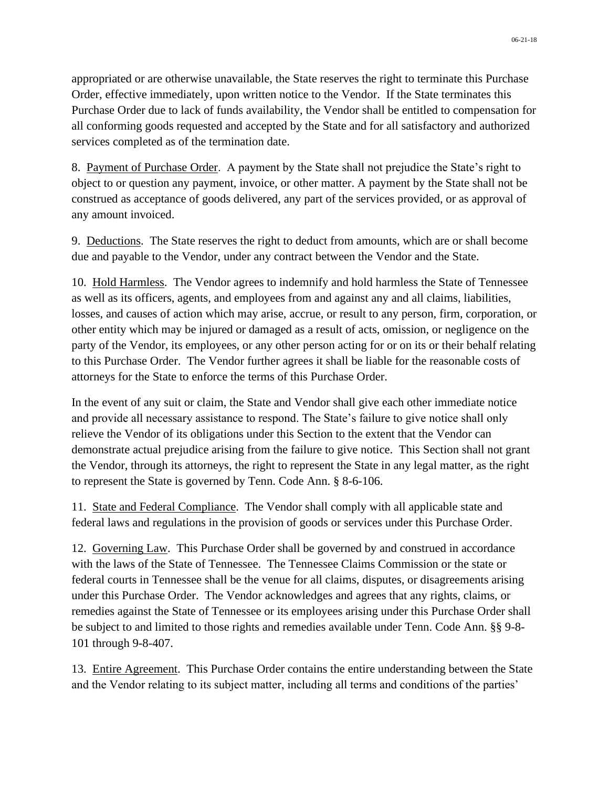appropriated or are otherwise unavailable, the State reserves the right to terminate this Purchase Order, effective immediately, upon written notice to the Vendor. If the State terminates this Purchase Order due to lack of funds availability, the Vendor shall be entitled to compensation for all conforming goods requested and accepted by the State and for all satisfactory and authorized services completed as of the termination date.

8. Payment of Purchase Order. A payment by the State shall not prejudice the State's right to object to or question any payment, invoice, or other matter. A payment by the State shall not be construed as acceptance of goods delivered, any part of the services provided, or as approval of any amount invoiced.

9. Deductions. The State reserves the right to deduct from amounts, which are or shall become due and payable to the Vendor, under any contract between the Vendor and the State.

10. Hold Harmless. The Vendor agrees to indemnify and hold harmless the State of Tennessee as well as its officers, agents, and employees from and against any and all claims, liabilities, losses, and causes of action which may arise, accrue, or result to any person, firm, corporation, or other entity which may be injured or damaged as a result of acts, omission, or negligence on the party of the Vendor, its employees, or any other person acting for or on its or their behalf relating to this Purchase Order. The Vendor further agrees it shall be liable for the reasonable costs of attorneys for the State to enforce the terms of this Purchase Order.

In the event of any suit or claim, the State and Vendor shall give each other immediate notice and provide all necessary assistance to respond. The State's failure to give notice shall only relieve the Vendor of its obligations under this Section to the extent that the Vendor can demonstrate actual prejudice arising from the failure to give notice. This Section shall not grant the Vendor, through its attorneys, the right to represent the State in any legal matter, as the right to represent the State is governed by Tenn. Code Ann. § 8-6-106.

11. State and Federal Compliance. The Vendor shall comply with all applicable state and federal laws and regulations in the provision of goods or services under this Purchase Order.

12. Governing Law. This Purchase Order shall be governed by and construed in accordance with the laws of the State of Tennessee. The Tennessee Claims Commission or the state or federal courts in Tennessee shall be the venue for all claims, disputes, or disagreements arising under this Purchase Order. The Vendor acknowledges and agrees that any rights, claims, or remedies against the State of Tennessee or its employees arising under this Purchase Order shall be subject to and limited to those rights and remedies available under Tenn. Code Ann. §§ 9-8- 101 through 9-8-407.

13. Entire Agreement. This Purchase Order contains the entire understanding between the State and the Vendor relating to its subject matter, including all terms and conditions of the parties'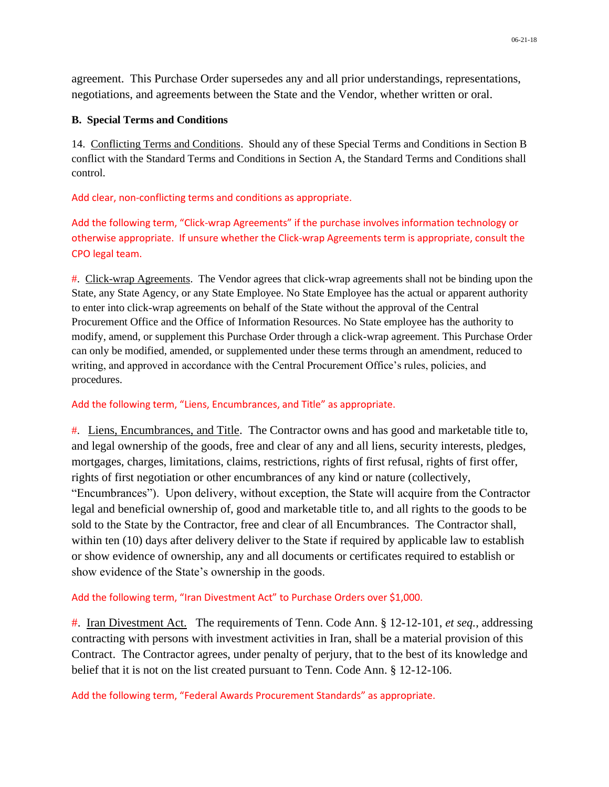agreement. This Purchase Order supersedes any and all prior understandings, representations, negotiations, and agreements between the State and the Vendor, whether written or oral.

# **B. Special Terms and Conditions**

14. Conflicting Terms and Conditions. Should any of these Special Terms and Conditions in Section B conflict with the Standard Terms and Conditions in Section A, the Standard Terms and Conditions shall control.

Add clear, non-conflicting terms and conditions as appropriate.

Add the following term, "Click-wrap Agreements" if the purchase involves information technology or otherwise appropriate. If unsure whether the Click-wrap Agreements term is appropriate, consult the CPO legal team.

#. Click-wrap Agreements. The Vendor agrees that click-wrap agreements shall not be binding upon the State, any State Agency, or any State Employee. No State Employee has the actual or apparent authority to enter into click-wrap agreements on behalf of the State without the approval of the Central Procurement Office and the Office of Information Resources. No State employee has the authority to modify, amend, or supplement this Purchase Order through a click-wrap agreement. This Purchase Order can only be modified, amended, or supplemented under these terms through an amendment, reduced to writing, and approved in accordance with the Central Procurement Office's rules, policies, and procedures.

# Add the following term, "Liens, Encumbrances, and Title" as appropriate.

#. Liens, Encumbrances, and Title. The Contractor owns and has good and marketable title to, and legal ownership of the goods, free and clear of any and all liens, security interests, pledges, mortgages, charges, limitations, claims, restrictions, rights of first refusal, rights of first offer, rights of first negotiation or other encumbrances of any kind or nature (collectively, "Encumbrances"). Upon delivery, without exception, the State will acquire from the Contractor legal and beneficial ownership of, good and marketable title to, and all rights to the goods to be sold to the State by the Contractor, free and clear of all Encumbrances. The Contractor shall, within ten (10) days after delivery deliver to the State if required by applicable law to establish or show evidence of ownership, any and all documents or certificates required to establish or show evidence of the State's ownership in the goods.

## Add the following term, "Iran Divestment Act" to Purchase Orders over \$1,000.

#. Iran Divestment Act. The requirements of Tenn. Code Ann. § 12-12-101, *et seq.*, addressing contracting with persons with investment activities in Iran, shall be a material provision of this Contract. The Contractor agrees, under penalty of perjury, that to the best of its knowledge and belief that it is not on the list created pursuant to Tenn. Code Ann. § 12-12-106.

Add the following term, "Federal Awards Procurement Standards" as appropriate.